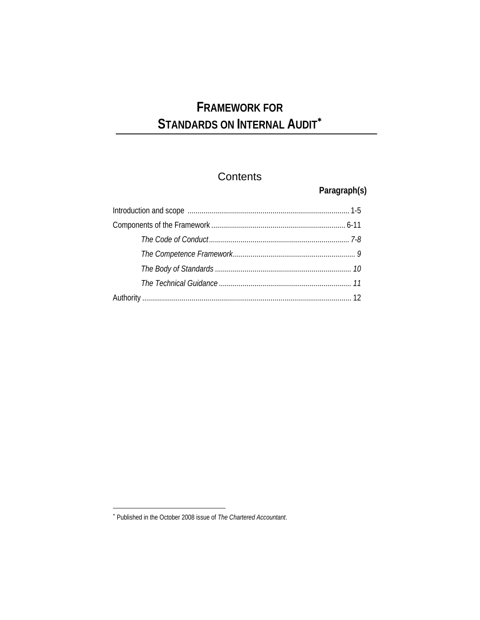# **FRAMEWORK FOR**  STANDARDS ON INTERNAL AUDIT<sup>\*</sup>

## **Contents**

**Paragraph(s)** 

 ∗ Published in the October 2008 issue of *The Chartered Accountant*.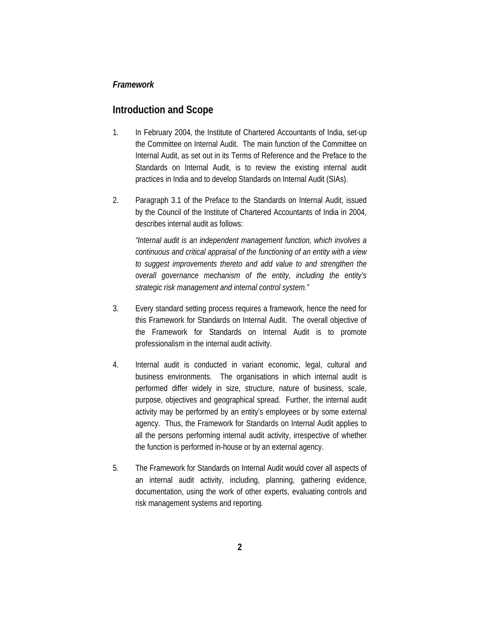#### *Framework*

### **Introduction and Scope**

- 1. In February 2004, the Institute of Chartered Accountants of India, set-up the Committee on Internal Audit. The main function of the Committee on Internal Audit, as set out in its Terms of Reference and the Preface to the Standards on Internal Audit, is to review the existing internal audit practices in India and to develop Standards on Internal Audit (SIAs).
- 2. Paragraph 3.1 of the Preface to the Standards on Internal Audit, issued by the Council of the Institute of Chartered Accountants of India in 2004, describes internal audit as follows:

*"Internal audit is an independent management function, which involves a continuous and critical appraisal of the functioning of an entity with a view to suggest improvements thereto and add value to and strengthen the overall governance mechanism of the entity, including the entity's strategic risk management and internal control system."* 

- 3. Every standard setting process requires a framework, hence the need for this Framework for Standards on Internal Audit. The overall objective of the Framework for Standards on Internal Audit is to promote professionalism in the internal audit activity.
- 4. Internal audit is conducted in variant economic, legal, cultural and business environments. The organisations in which internal audit is performed differ widely in size, structure, nature of business, scale, purpose, objectives and geographical spread. Further, the internal audit activity may be performed by an entity's employees or by some external agency. Thus, the Framework for Standards on Internal Audit applies to all the persons performing internal audit activity, irrespective of whether the function is performed in-house or by an external agency.
- 5. The Framework for Standards on Internal Audit would cover all aspects of an internal audit activity, including, planning, gathering evidence, documentation, using the work of other experts, evaluating controls and risk management systems and reporting.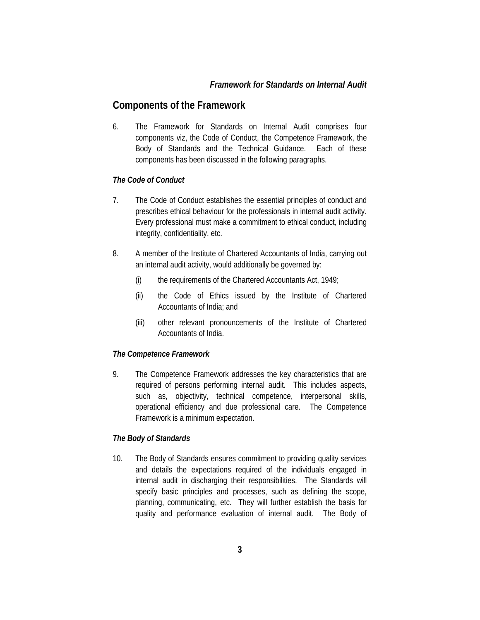#### *Framework for Standards on Internal Audit*

#### **Components of the Framework**

6. The Framework for Standards on Internal Audit comprises four components viz, the Code of Conduct, the Competence Framework, the Body of Standards and the Technical Guidance. Each of these components has been discussed in the following paragraphs.

#### *The Code of Conduct*

- 7. The Code of Conduct establishes the essential principles of conduct and prescribes ethical behaviour for the professionals in internal audit activity. Every professional must make a commitment to ethical conduct, including integrity, confidentiality, etc.
- 8. A member of the Institute of Chartered Accountants of India, carrying out an internal audit activity, would additionally be governed by:
	- (i) the requirements of the Chartered Accountants Act, 1949;
	- (ii) the Code of Ethics issued by the Institute of Chartered Accountants of India; and
	- (iii) other relevant pronouncements of the Institute of Chartered Accountants of India.

#### *The Competence Framework*

9. The Competence Framework addresses the key characteristics that are required of persons performing internal audit. This includes aspects, such as, objectivity, technical competence, interpersonal skills, operational efficiency and due professional care. The Competence Framework is a minimum expectation.

#### *The Body of Standards*

10. The Body of Standards ensures commitment to providing quality services and details the expectations required of the individuals engaged in internal audit in discharging their responsibilities. The Standards will specify basic principles and processes, such as defining the scope, planning, communicating, etc. They will further establish the basis for quality and performance evaluation of internal audit. The Body of